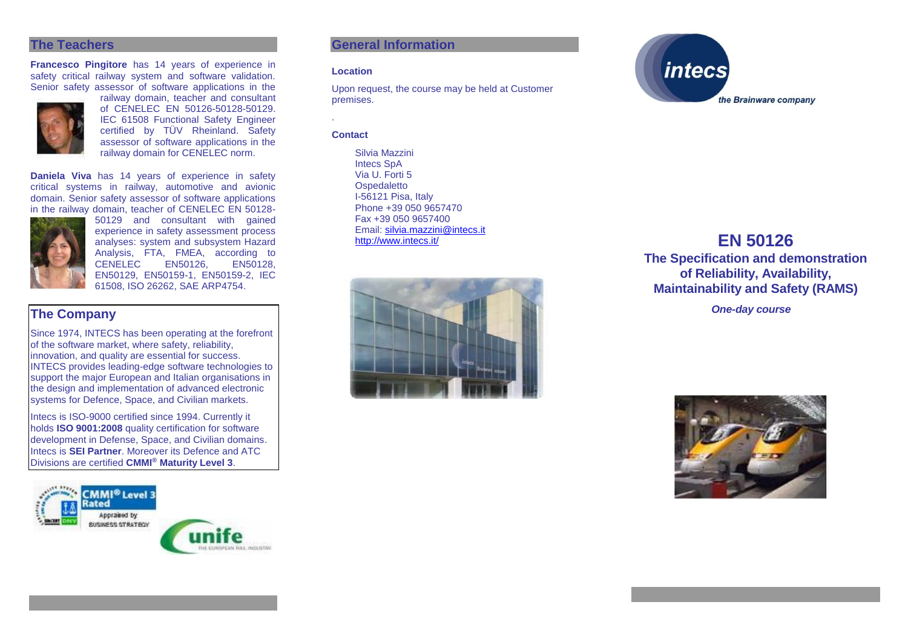#### **The Teachers**

**Francesco Pingitore** has 14 years of experience in safety critical railway system and software validation. Senior safety assessor of software applications in the



of CENELEC EN 50126-50128-50129. IEC 61508 Functional Safety Engineer certified by TÜV Rheinland. Safety assessor of software applications in the railway domain for CENELEC norm.

railway domain, teacher and consultant

**Daniela Viva** has 14 years of experience in safety critical systems in railway, automotive and avionic domain. Senior safety assessor of software applications in the railway domain, teacher of CENELEC EN 50128-



50129 and consultant with gained experience in safety assessment process analyses: system and subsystem Hazard Analysis, FTA, FMEA, according to CENELEC<sup>1</sup> EN50129, EN50159-1, EN50159-2, IEC 61508, ISO 26262, SAE ARP4754.

# **The Company**

Since 1974, INTECS has been operating at the forefront of the software market, where safety, reliability, innovation, and quality are essential for success. INTECS provides leading-edge software technologies to support the major European and Italian organisations in the design and implementation of advanced electronic systems for Defence, Space, and Civilian markets.

Intecs is ISO-9000 certified since 1994. Currently it holds **ISO 9001:2008** quality certification for software development in Defense, Space, and Civilian domains. Intecs is **SEI Partner**. Moreover its Defence and ATC Divisions are certified **CMMI® Maturity Level 3**.



# **General Information**

#### **Location**

Upon request, the course may be held at Customer premises.

#### **Contact**

.

Silvia Mazzini Intecs SpA Via U. Forti 5 **Ospedaletto** I-56121 Pisa, Italy Phone +39 050 9657470 Fax +39 050 9657400 Email: [silvia.mazzini@intecs.it](mailto:andrea.musone@intecs.it)<br>http://www.intecs.it/





# **EN 50126**

**The Specification and demonstration of Reliability, Availability, Maintainability and Safety (RAMS)**

*One-day course*